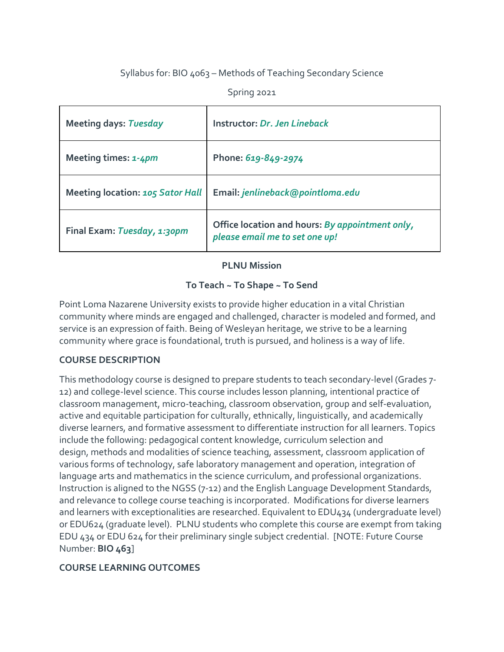# Syllabus for: BIO 4063 – Methods of Teaching Secondary Science

Spring 2021

| <b>Meeting days: Tuesday</b>            | Instructor: Dr. Jen Lineback                                                      |  |
|-----------------------------------------|-----------------------------------------------------------------------------------|--|
| Meeting times: 1-4pm                    | Phone: 619-849-2974                                                               |  |
| <b>Meeting location: 105 Sator Hall</b> | Email: jenlineback@pointloma.edu                                                  |  |
| Final Exam: Tuesday, 1:30pm             | Office location and hours: By appointment only,<br>please email me to set one up! |  |

## **PLNU Mission**

# **To Teach ~ To Shape ~ To Send**

Point Loma Nazarene University exists to provide higher education in a vital Christian community where minds are engaged and challenged, character is modeled and formed, and service is an expression of faith. Being of Wesleyan heritage, we strive to be a learning community where grace is foundational, truth is pursued, and holiness is a way of life.

# **COURSE DESCRIPTION**

This methodology course is designed to prepare students to teach secondary-level (Grades 7- 12) and college-level science. This course includes lesson planning, intentional practice of classroom management, micro-teaching, classroom observation, group and self-evaluation, active and equitable participation for culturally, ethnically, linguistically, and academically diverse learners, and formative assessment to differentiate instruction for all learners. Topics include the following: pedagogical content knowledge, curriculum selection and design, methods and modalities of science teaching, assessment, classroom application of various forms of technology, safe laboratory management and operation, integration of language arts and mathematics in the science curriculum, and professional organizations. Instruction is aligned to the NGSS (7-12) and the English Language Development Standards, and relevance to college course teaching is incorporated. Modifications for diverse learners and learners with exceptionalities are researched. Equivalent to EDU434 (undergraduate level) or EDU624 (graduate level). PLNU students who complete this course are exempt from taking EDU 434 or EDU 624 for their preliminary single subject credential. [NOTE: Future Course Number: **BIO 463**]

# **COURSE LEARNING OUTCOMES**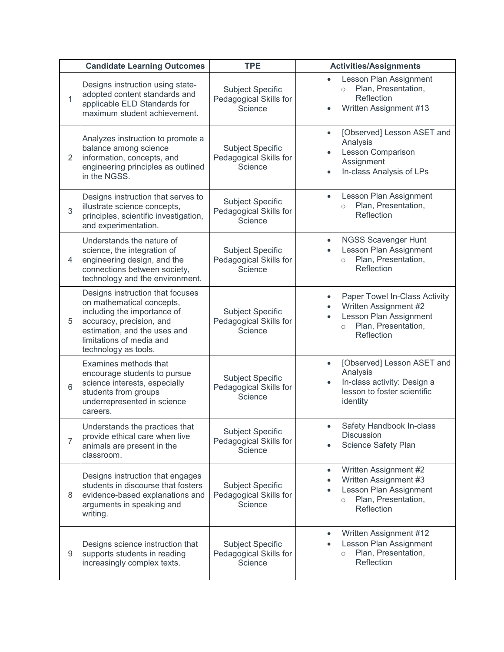|                | <b>Candidate Learning Outcomes</b>                                                                                                                                                                           | <b>TPE</b>                                                   | <b>Activities/Assignments</b>                                                                                                         |
|----------------|--------------------------------------------------------------------------------------------------------------------------------------------------------------------------------------------------------------|--------------------------------------------------------------|---------------------------------------------------------------------------------------------------------------------------------------|
| $\overline{1}$ | Designs instruction using state-<br>adopted content standards and<br>applicable ELD Standards for<br>maximum student achievement.                                                                            | <b>Subject Specific</b><br>Pedagogical Skills for<br>Science | Lesson Plan Assignment<br>Plan, Presentation,<br>$\circ$<br>Reflection<br>Written Assignment #13                                      |
| $\overline{2}$ | Analyzes instruction to promote a<br>balance among science<br>information, concepts, and<br>engineering principles as outlined<br>in the NGSS.                                                               | <b>Subject Specific</b><br>Pedagogical Skills for<br>Science | [Observed] Lesson ASET and<br>Analysis<br>Lesson Comparison<br>Assignment<br>In-class Analysis of LPs                                 |
| 3              | Designs instruction that serves to<br>illustrate science concepts,<br>principles, scientific investigation,<br>and experimentation.                                                                          | <b>Subject Specific</b><br>Pedagogical Skills for<br>Science | Lesson Plan Assignment<br>$\bullet$<br>Plan, Presentation,<br>$\circ$<br>Reflection                                                   |
| 4              | Understands the nature of<br>science, the integration of<br>engineering design, and the<br>connections between society,<br>technology and the environment.                                                   | <b>Subject Specific</b><br>Pedagogical Skills for<br>Science | <b>NGSS Scavenger Hunt</b><br>Lesson Plan Assignment<br>Plan, Presentation,<br>$\circ$<br>Reflection                                  |
| 5              | Designs instruction that focuses<br>on mathematical concepts,<br>including the importance of<br>accuracy, precision, and<br>estimation, and the uses and<br>limitations of media and<br>technology as tools. | <b>Subject Specific</b><br>Pedagogical Skills for<br>Science | Paper Towel In-Class Activity<br>Written Assignment #2<br>Lesson Plan Assignment<br>Plan, Presentation,<br>$\circ$<br>Reflection      |
| 6              | Examines methods that<br>encourage students to pursue<br>science interests, especially<br>students from groups<br>underrepresented in science<br>careers.                                                    | <b>Subject Specific</b><br>Pedagogical Skills for<br>Science | [Observed] Lesson ASET and<br>$\bullet$<br>Analysis<br>In-class activity: Design a<br>lesson to foster scientific<br>identity         |
| 7              | Understands the practices that<br>provide ethical care when live<br>animals are present in the<br>classroom.                                                                                                 | <b>Subject Specific</b><br>Pedagogical Skills for<br>Science | Safety Handbook In-class<br>$\bullet$<br>Discussion<br><b>Science Safety Plan</b>                                                     |
| 8              | Designs instruction that engages<br>students in discourse that fosters<br>evidence-based explanations and<br>arguments in speaking and<br>writing.                                                           | <b>Subject Specific</b><br>Pedagogical Skills for<br>Science | Written Assignment #2<br>$\bullet$<br>Written Assignment #3<br>Lesson Plan Assignment<br>Plan, Presentation,<br>$\circ$<br>Reflection |
| 9              | Designs science instruction that<br>supports students in reading<br>increasingly complex texts.                                                                                                              | <b>Subject Specific</b><br>Pedagogical Skills for<br>Science | Written Assignment #12<br>Lesson Plan Assignment<br>Plan, Presentation,<br>$\circ$<br>Reflection                                      |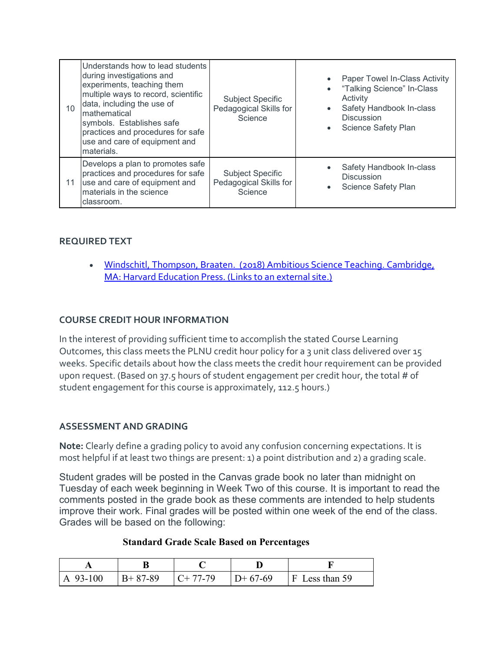| 10 | Understands how to lead students<br>during investigations and<br>experiments, teaching them<br>multiple ways to record, scientific<br>data, including the use of<br>mathematical<br>symbols. Establishes safe<br>practices and procedures for safe<br>use and care of equipment and<br>materials. | <b>Subject Specific</b><br>Pedagogical Skills for<br>Science | Paper Towel In-Class Activity<br>• "Talking Science" In-Class<br>Activity<br>Safety Handbook In-class<br><b>Discussion</b><br>• Science Safety Plan |
|----|---------------------------------------------------------------------------------------------------------------------------------------------------------------------------------------------------------------------------------------------------------------------------------------------------|--------------------------------------------------------------|-----------------------------------------------------------------------------------------------------------------------------------------------------|
| 11 | Develops a plan to promotes safe<br>practices and procedures for safe<br>use and care of equipment and<br>materials in the science<br>classroom.                                                                                                                                                  | <b>Subject Specific</b><br>Pedagogical Skills for<br>Science | Safety Handbook In-class<br><b>Discussion</b><br>Science Safety Plan<br>$\bullet$                                                                   |

## **REQUIRED TEXT**

• Windschitl, Thompson, Braaten. (2018) Ambitious Science Teaching. Cambridge, [MA: Harvard Education Press.](https://www.amazon.com/Ambitious-Science-Teaching-Mark-Windschitl/dp/1682531627) (Links to an external site.)

## **COURSE CREDIT HOUR INFORMATION**

In the interest of providing sufficient time to accomplish the stated Course Learning Outcomes, this class meets the PLNU credit hour policy for a 3 unit class delivered over 15 weeks. Specific details about how the class meets the credit hour requirement can be provided upon request. (Based on 37.5 hours of student engagement per credit hour, the total # of student engagement for this course is approximately, 112.5 hours.)

### **ASSESSMENT AND GRADING**

**Note:** Clearly define a grading policy to avoid any confusion concerning expectations. It is most helpful if at least two things are present: 1) a point distribution and 2) a grading scale.

Student grades will be posted in the Canvas grade book no later than midnight on Tuesday of each week beginning in Week Two of this course. It is important to read the comments posted in the grade book as these comments are intended to help students improve their work. Final grades will be posted within one week of the end of the class. Grades will be based on the following:

#### **Standard Grade Scale Based on Percentages**

| $ A\ 93-100 $ | $B+87-89$ | $C+77-79$ | $D+67-69$ | $F$ Less than 59 |
|---------------|-----------|-----------|-----------|------------------|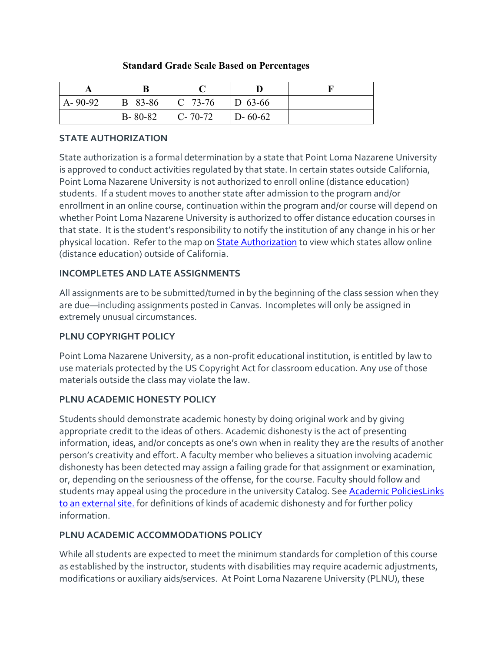### **Standard Grade Scale Based on Percentages**

| $A - 90 - 92$ | B 83-86       | $ C 73-76$                    | $\vert$ D 63-66 |  |
|---------------|---------------|-------------------------------|-----------------|--|
|               | $B - 80 - 82$ | $\lfloor C - 70 - 72 \rfloor$ | $D - 60 - 62$   |  |

## **STATE AUTHORIZATION**

State authorization is a formal determination by a state that Point Loma Nazarene University is approved to conduct activities regulated by that state. In certain states outside California, Point Loma Nazarene University is not authorized to enroll online (distance education) students. If a student moves to another state after admission to the program and/or enrollment in an online course, continuation within the program and/or course will depend on whether Point Loma Nazarene University is authorized to offer distance education courses in that state. It is the student's responsibility to notify the institution of any change in his or her physical location. Refer to the map on **[State Authorization](https://www.pointloma.edu/offices/office-institutional-effectiveness-research/disclosures)** to view which states allow online (distance education) outside of California.

## **INCOMPLETES AND LATE ASSIGNMENTS**

All assignments are to be submitted/turned in by the beginning of the class session when they are due—including assignments posted in Canvas. Incompletes will only be assigned in extremely unusual circumstances.

### **PLNU COPYRIGHT POLICY**

Point Loma Nazarene University, as a non-profit educational institution, is entitled by law to use materials protected by the US Copyright Act for classroom education. Any use of those materials outside the class may violate the law.

# **PLNU ACADEMIC HONESTY POLICY**

Students should demonstrate academic honesty by doing original work and by giving appropriate credit to the ideas of others. Academic dishonesty is the act of presenting information, ideas, and/or concepts as one's own when in reality they are the results of another person's creativity and effort. A faculty member who believes a situation involving academic dishonesty has been detected may assign a failing grade for that assignment or examination, or, depending on the seriousness of the offense, for the course. Faculty should follow and students may appeal using the procedure in the university Catalog. See [Academic PoliciesLinks](http://catalog.pointloma.edu/content.php?catoid=18&navoid=1278) to an [external](http://catalog.pointloma.edu/content.php?catoid=18&navoid=1278) site. for definitions of kinds of academic dishonesty and for further policy information.

### **PLNU ACADEMIC ACCOMMODATIONS POLICY**

While all students are expected to meet the minimum standards for completion of this course as established by the instructor, students with disabilities may require academic adjustments, modifications or auxiliary aids/services. At Point Loma Nazarene University (PLNU), these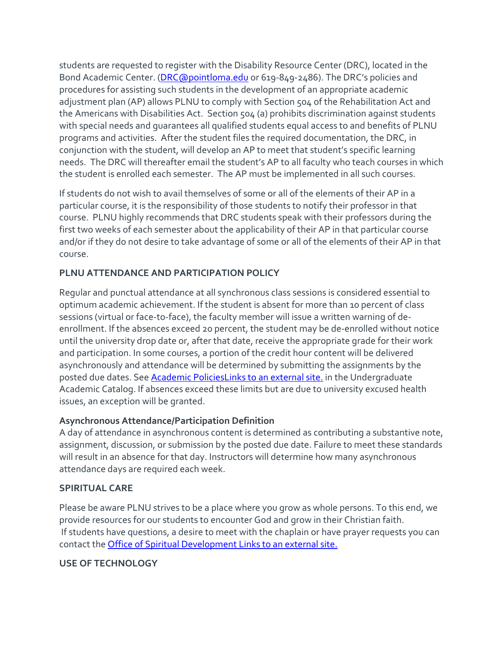students are requested to register with the Disability Resource Center (DRC), located in the Bond Academic Center. [\(DRC@pointloma.edu](mailto:DRC@pointloma.edu) or 619-849-2486). The DRC's policies and procedures for assisting such students in the development of an appropriate academic adjustment plan (AP) allows PLNU to comply with Section 504 of the Rehabilitation Act and the Americans with Disabilities Act. Section 504 (a) prohibits discrimination against students with special needs and guarantees all qualified students equal access to and benefits of PLNU programs and activities. After the student files the required documentation, the DRC, in conjunction with the student, will develop an AP to meet that student's specific learning needs. The DRC will thereafter email the student's AP to all faculty who teach courses in which the student is enrolled each semester. The AP must be implemented in all such courses.

If students do not wish to avail themselves of some or all of the elements of their AP in a particular course, it is the responsibility of those students to notify their professor in that course. PLNU highly recommends that DRC students speak with their professors during the first two weeks of each semester about the applicability of their AP in that particular course and/or if they do not desire to take advantage of some or all of the elements of their AP in that course.

# **PLNU ATTENDANCE AND PARTICIPATION POLICY**

Regular and punctual attendance at all synchronous class sessions is considered essential to optimum academic achievement. If the student is absent for more than 10 percent of class sessions (virtual or face-to-face), the faculty member will issue a written warning of deenrollment. If the absences exceed 20 percent, the student may be de-enrolled without notice until the university drop date or, after that date, receive the appropriate grade for their work and participation. In some courses, a portion of the credit hour content will be delivered asynchronously and attendance will be determined by submitting the assignments by the posted due dates. See [Academic PoliciesLinks](http://catalog.pointloma.edu/content.php?catoid=18&navoid=1278) to an external site. in the Undergraduate Academic Catalog. If absences exceed these limits but are due to university excused health issues, an exception will be granted.

# **Asynchronous Attendance/Participation Definition**

A day of attendance in asynchronous content is determined as contributing a substantive note, assignment, discussion, or submission by the posted due date. Failure to meet these standards will result in an absence for that day. Instructors will determine how many asynchronous attendance days are required each week.

### **SPIRITUAL CARE**

Please be aware PLNU strives to be a place where you grow as whole persons. To this end, we provide resources for our students to encounter God and grow in their Christian faith. If students have questions, a desire to meet with the chaplain or have prayer requests you can contact the [Office of Spiritual Development](https://www.pointloma.edu/offices/spiritual-development) Links to an external site.

# **USE OF TECHNOLOGY**